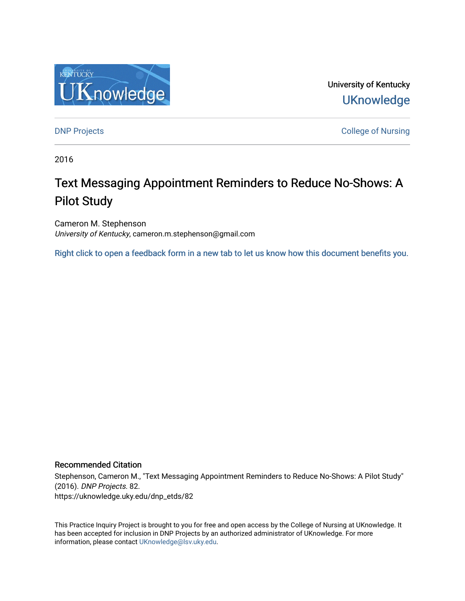

University of Kentucky **UKnowledge** 

[DNP Projects](https://uknowledge.uky.edu/dnp_etds) **College of Nursing** 

2016

# Text Messaging Appointment Reminders to Reduce No-Shows: A Pilot Study

Cameron M. Stephenson University of Kentucky, cameron.m.stephenson@gmail.com

[Right click to open a feedback form in a new tab to let us know how this document benefits you.](https://uky.az1.qualtrics.com/jfe/form/SV_9mq8fx2GnONRfz7)

#### Recommended Citation

Stephenson, Cameron M., "Text Messaging Appointment Reminders to Reduce No-Shows: A Pilot Study" (2016). DNP Projects. 82. https://uknowledge.uky.edu/dnp\_etds/82

This Practice Inquiry Project is brought to you for free and open access by the College of Nursing at UKnowledge. It has been accepted for inclusion in DNP Projects by an authorized administrator of UKnowledge. For more information, please contact [UKnowledge@lsv.uky.edu](mailto:UKnowledge@lsv.uky.edu).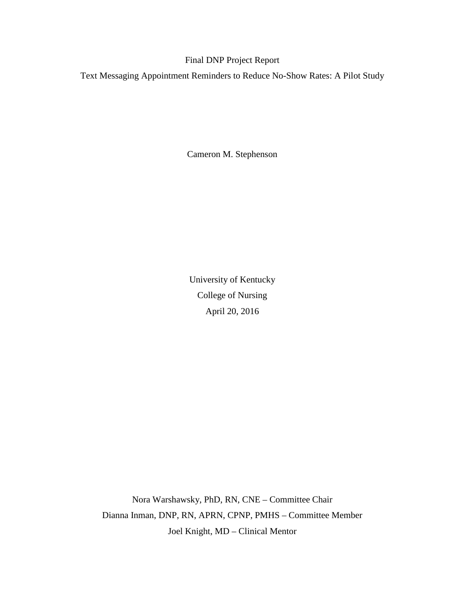### Final DNP Project Report

Text Messaging Appointment Reminders to Reduce No-Show Rates: A Pilot Study

Cameron M. Stephenson

University of Kentucky College of Nursing April 20, 2016

Nora Warshawsky, PhD, RN, CNE – Committee Chair Dianna Inman, DNP, RN, APRN, CPNP, PMHS – Committee Member Joel Knight, MD – Clinical Mentor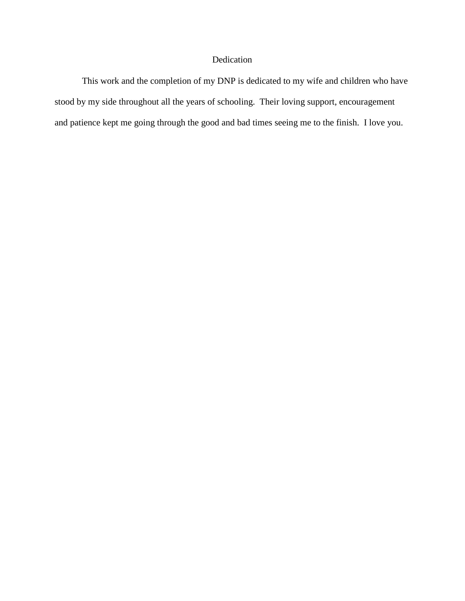## Dedication

This work and the completion of my DNP is dedicated to my wife and children who have stood by my side throughout all the years of schooling. Their loving support, encouragement and patience kept me going through the good and bad times seeing me to the finish. I love you.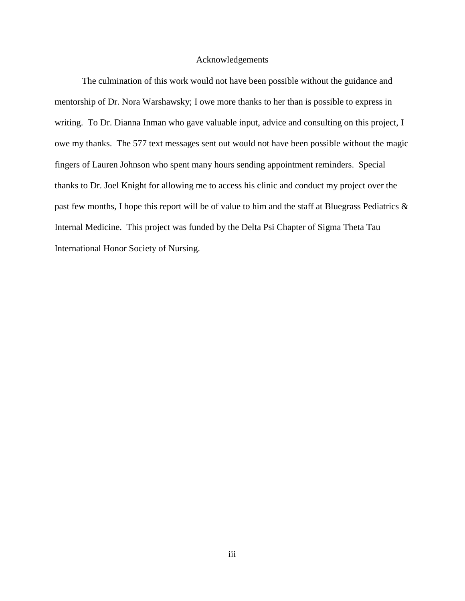#### Acknowledgements

The culmination of this work would not have been possible without the guidance and mentorship of Dr. Nora Warshawsky; I owe more thanks to her than is possible to express in writing. To Dr. Dianna Inman who gave valuable input, advice and consulting on this project, I owe my thanks. The 577 text messages sent out would not have been possible without the magic fingers of Lauren Johnson who spent many hours sending appointment reminders. Special thanks to Dr. Joel Knight for allowing me to access his clinic and conduct my project over the past few months, I hope this report will be of value to him and the staff at Bluegrass Pediatrics & Internal Medicine. This project was funded by the Delta Psi Chapter of Sigma Theta Tau International Honor Society of Nursing.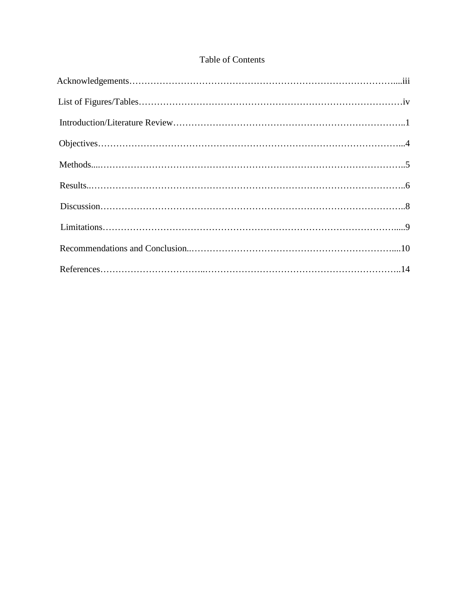## Table of Contents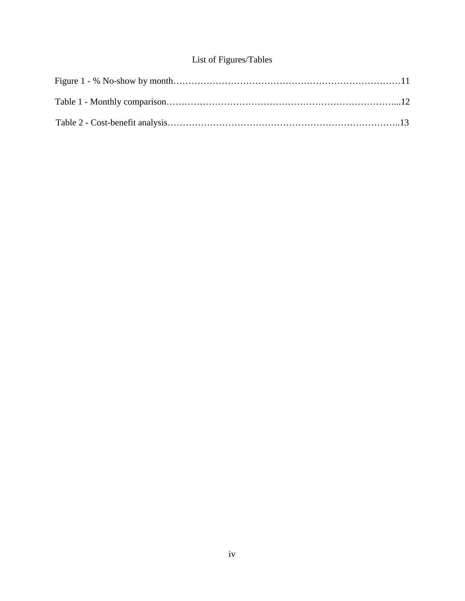## List of Figures/Tables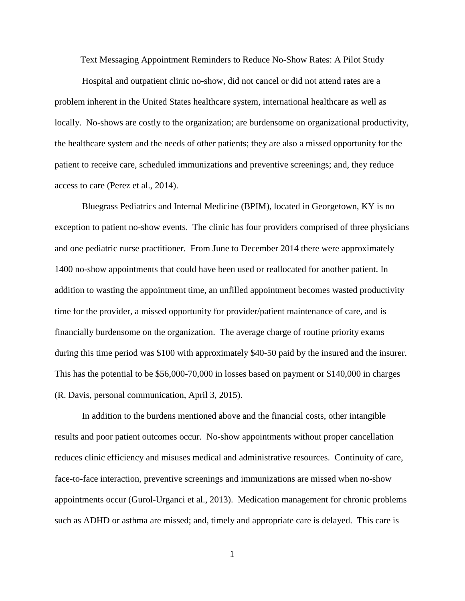Text Messaging Appointment Reminders to Reduce No-Show Rates: A Pilot Study

Hospital and outpatient clinic no-show, did not cancel or did not attend rates are a problem inherent in the United States healthcare system, international healthcare as well as locally. No-shows are costly to the organization; are burdensome on organizational productivity, the healthcare system and the needs of other patients; they are also a missed opportunity for the patient to receive care, scheduled immunizations and preventive screenings; and, they reduce access to care (Perez et al., 2014).

Bluegrass Pediatrics and Internal Medicine (BPIM), located in Georgetown, KY is no exception to patient no-show events. The clinic has four providers comprised of three physicians and one pediatric nurse practitioner. From June to December 2014 there were approximately 1400 no-show appointments that could have been used or reallocated for another patient. In addition to wasting the appointment time, an unfilled appointment becomes wasted productivity time for the provider, a missed opportunity for provider/patient maintenance of care, and is financially burdensome on the organization. The average charge of routine priority exams during this time period was \$100 with approximately \$40-50 paid by the insured and the insurer. This has the potential to be \$56,000-70,000 in losses based on payment or \$140,000 in charges (R. Davis, personal communication, April 3, 2015).

In addition to the burdens mentioned above and the financial costs, other intangible results and poor patient outcomes occur. No-show appointments without proper cancellation reduces clinic efficiency and misuses medical and administrative resources. Continuity of care, face-to-face interaction, preventive screenings and immunizations are missed when no-show appointments occur (Gurol-Urganci et al., 2013). Medication management for chronic problems such as ADHD or asthma are missed; and, timely and appropriate care is delayed. This care is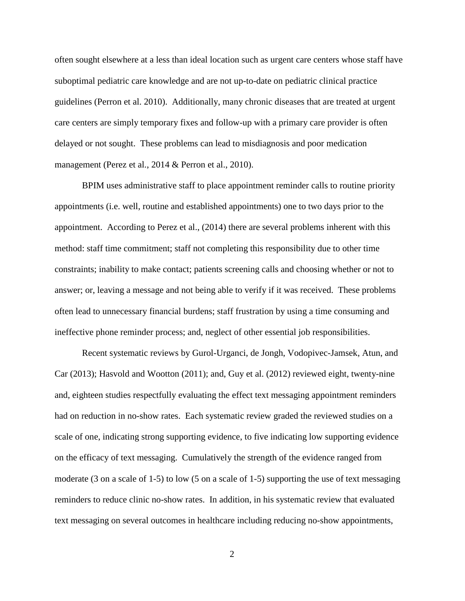often sought elsewhere at a less than ideal location such as urgent care centers whose staff have suboptimal pediatric care knowledge and are not up-to-date on pediatric clinical practice guidelines (Perron et al. 2010). Additionally, many chronic diseases that are treated at urgent care centers are simply temporary fixes and follow-up with a primary care provider is often delayed or not sought. These problems can lead to misdiagnosis and poor medication management (Perez et al., 2014 & Perron et al., 2010).

BPIM uses administrative staff to place appointment reminder calls to routine priority appointments (i.e. well, routine and established appointments) one to two days prior to the appointment. According to Perez et al., (2014) there are several problems inherent with this method: staff time commitment; staff not completing this responsibility due to other time constraints; inability to make contact; patients screening calls and choosing whether or not to answer; or, leaving a message and not being able to verify if it was received. These problems often lead to unnecessary financial burdens; staff frustration by using a time consuming and ineffective phone reminder process; and, neglect of other essential job responsibilities.

Recent systematic reviews by Gurol-Urganci, de Jongh, Vodopivec-Jamsek, Atun, and Car (2013); Hasvold and Wootton (2011); and, Guy et al. (2012) reviewed eight, twenty-nine and, eighteen studies respectfully evaluating the effect text messaging appointment reminders had on reduction in no-show rates. Each systematic review graded the reviewed studies on a scale of one, indicating strong supporting evidence, to five indicating low supporting evidence on the efficacy of text messaging. Cumulatively the strength of the evidence ranged from moderate (3 on a scale of 1-5) to low (5 on a scale of 1-5) supporting the use of text messaging reminders to reduce clinic no-show rates. In addition, in his systematic review that evaluated text messaging on several outcomes in healthcare including reducing no-show appointments,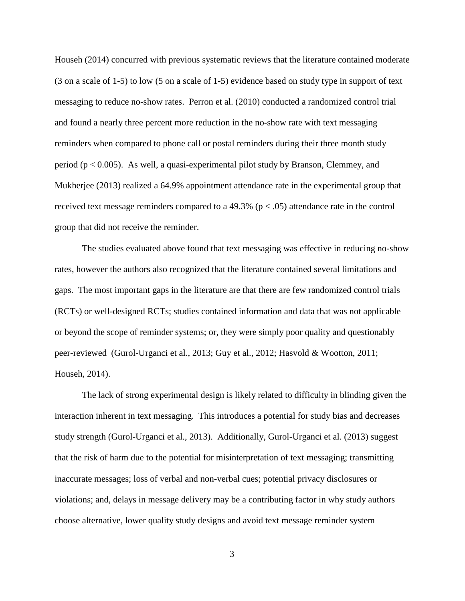Househ (2014) concurred with previous systematic reviews that the literature contained moderate (3 on a scale of 1-5) to low (5 on a scale of 1-5) evidence based on study type in support of text messaging to reduce no-show rates. Perron et al. (2010) conducted a randomized control trial and found a nearly three percent more reduction in the no-show rate with text messaging reminders when compared to phone call or postal reminders during their three month study period ( $p < 0.005$ ). As well, a quasi-experimental pilot study by Branson, Clemmey, and Mukherjee (2013) realized a 64.9% appointment attendance rate in the experimental group that received text message reminders compared to a 49.3% ( $p < .05$ ) attendance rate in the control group that did not receive the reminder.

The studies evaluated above found that text messaging was effective in reducing no-show rates, however the authors also recognized that the literature contained several limitations and gaps. The most important gaps in the literature are that there are few randomized control trials (RCTs) or well-designed RCTs; studies contained information and data that was not applicable or beyond the scope of reminder systems; or, they were simply poor quality and questionably peer-reviewed (Gurol-Urganci et al., 2013; Guy et al., 2012; Hasvold & Wootton, 2011; Househ, 2014).

The lack of strong experimental design is likely related to difficulty in blinding given the interaction inherent in text messaging. This introduces a potential for study bias and decreases study strength (Gurol-Urganci et al., 2013). Additionally, Gurol-Urganci et al. (2013) suggest that the risk of harm due to the potential for misinterpretation of text messaging; transmitting inaccurate messages; loss of verbal and non-verbal cues; potential privacy disclosures or violations; and, delays in message delivery may be a contributing factor in why study authors choose alternative, lower quality study designs and avoid text message reminder system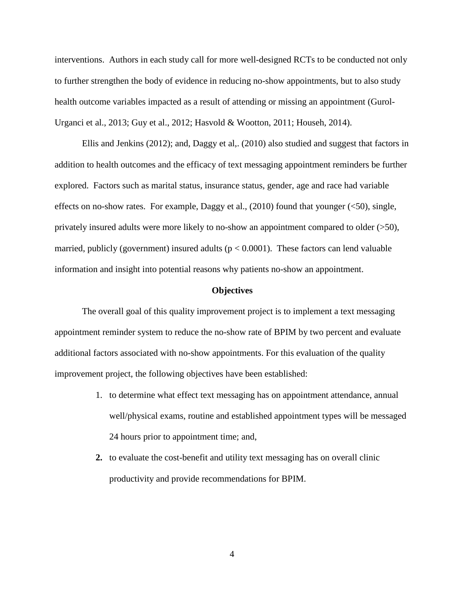interventions. Authors in each study call for more well-designed RCTs to be conducted not only to further strengthen the body of evidence in reducing no-show appointments, but to also study health outcome variables impacted as a result of attending or missing an appointment (Gurol-Urganci et al., 2013; Guy et al., 2012; Hasvold & Wootton, 2011; Househ, 2014).

Ellis and Jenkins (2012); and, Daggy et al,. (2010) also studied and suggest that factors in addition to health outcomes and the efficacy of text messaging appointment reminders be further explored. Factors such as marital status, insurance status, gender, age and race had variable effects on no-show rates. For example, Daggy et al., (2010) found that younger (<50), single, privately insured adults were more likely to no-show an appointment compared to older  $($ >50), married, publicly (government) insured adults ( $p < 0.0001$ ). These factors can lend valuable information and insight into potential reasons why patients no-show an appointment.

#### **Objectives**

The overall goal of this quality improvement project is to implement a text messaging appointment reminder system to reduce the no-show rate of BPIM by two percent and evaluate additional factors associated with no-show appointments. For this evaluation of the quality improvement project, the following objectives have been established:

- 1. to determine what effect text messaging has on appointment attendance, annual well/physical exams, routine and established appointment types will be messaged 24 hours prior to appointment time; and,
- **2.** to evaluate the cost-benefit and utility text messaging has on overall clinic productivity and provide recommendations for BPIM.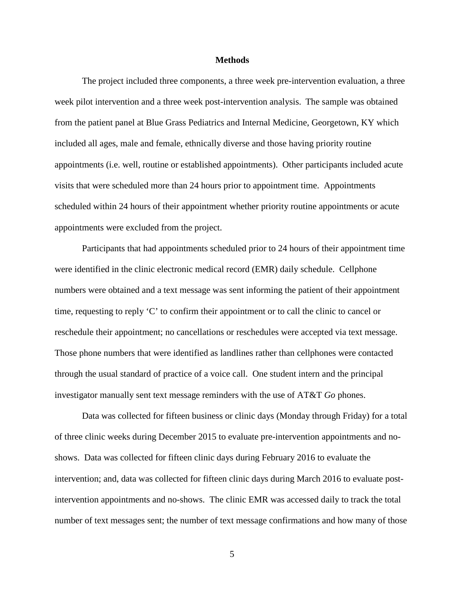#### **Methods**

The project included three components, a three week pre-intervention evaluation, a three week pilot intervention and a three week post-intervention analysis. The sample was obtained from the patient panel at Blue Grass Pediatrics and Internal Medicine, Georgetown, KY which included all ages, male and female, ethnically diverse and those having priority routine appointments (i.e. well, routine or established appointments). Other participants included acute visits that were scheduled more than 24 hours prior to appointment time. Appointments scheduled within 24 hours of their appointment whether priority routine appointments or acute appointments were excluded from the project.

Participants that had appointments scheduled prior to 24 hours of their appointment time were identified in the clinic electronic medical record (EMR) daily schedule. Cellphone numbers were obtained and a text message was sent informing the patient of their appointment time, requesting to reply 'C' to confirm their appointment or to call the clinic to cancel or reschedule their appointment; no cancellations or reschedules were accepted via text message. Those phone numbers that were identified as landlines rather than cellphones were contacted through the usual standard of practice of a voice call. One student intern and the principal investigator manually sent text message reminders with the use of AT&T *Go* phones.

Data was collected for fifteen business or clinic days (Monday through Friday) for a total of three clinic weeks during December 2015 to evaluate pre-intervention appointments and noshows. Data was collected for fifteen clinic days during February 2016 to evaluate the intervention; and, data was collected for fifteen clinic days during March 2016 to evaluate postintervention appointments and no-shows. The clinic EMR was accessed daily to track the total number of text messages sent; the number of text message confirmations and how many of those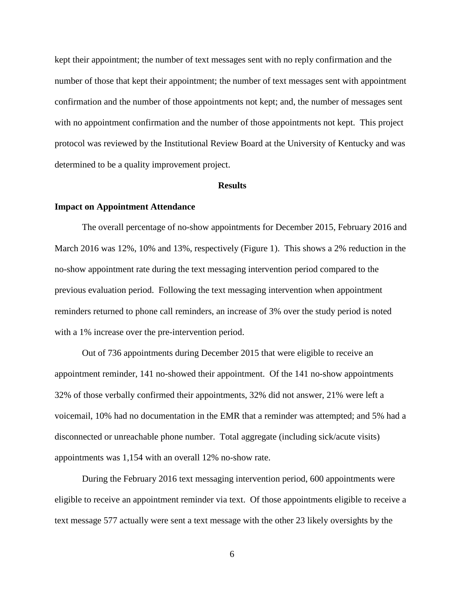kept their appointment; the number of text messages sent with no reply confirmation and the number of those that kept their appointment; the number of text messages sent with appointment confirmation and the number of those appointments not kept; and, the number of messages sent with no appointment confirmation and the number of those appointments not kept. This project protocol was reviewed by the Institutional Review Board at the University of Kentucky and was determined to be a quality improvement project.

#### **Results**

#### **Impact on Appointment Attendance**

The overall percentage of no-show appointments for December 2015, February 2016 and March 2016 was 12%, 10% and 13%, respectively (Figure 1). This shows a 2% reduction in the no-show appointment rate during the text messaging intervention period compared to the previous evaluation period. Following the text messaging intervention when appointment reminders returned to phone call reminders, an increase of 3% over the study period is noted with a 1% increase over the pre-intervention period.

Out of 736 appointments during December 2015 that were eligible to receive an appointment reminder, 141 no-showed their appointment. Of the 141 no-show appointments 32% of those verbally confirmed their appointments, 32% did not answer, 21% were left a voicemail, 10% had no documentation in the EMR that a reminder was attempted; and 5% had a disconnected or unreachable phone number. Total aggregate (including sick/acute visits) appointments was 1,154 with an overall 12% no-show rate.

During the February 2016 text messaging intervention period, 600 appointments were eligible to receive an appointment reminder via text. Of those appointments eligible to receive a text message 577 actually were sent a text message with the other 23 likely oversights by the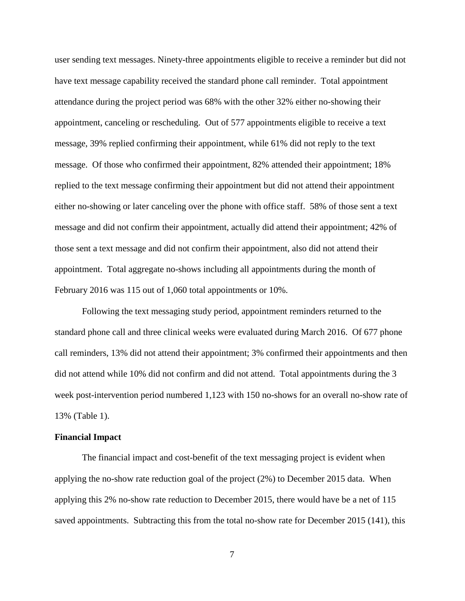user sending text messages. Ninety-three appointments eligible to receive a reminder but did not have text message capability received the standard phone call reminder. Total appointment attendance during the project period was 68% with the other 32% either no-showing their appointment, canceling or rescheduling. Out of 577 appointments eligible to receive a text message, 39% replied confirming their appointment, while 61% did not reply to the text message. Of those who confirmed their appointment, 82% attended their appointment; 18% replied to the text message confirming their appointment but did not attend their appointment either no-showing or later canceling over the phone with office staff. 58% of those sent a text message and did not confirm their appointment, actually did attend their appointment; 42% of those sent a text message and did not confirm their appointment, also did not attend their appointment. Total aggregate no-shows including all appointments during the month of February 2016 was 115 out of 1,060 total appointments or 10%.

Following the text messaging study period, appointment reminders returned to the standard phone call and three clinical weeks were evaluated during March 2016. Of 677 phone call reminders, 13% did not attend their appointment; 3% confirmed their appointments and then did not attend while 10% did not confirm and did not attend. Total appointments during the 3 week post-intervention period numbered 1,123 with 150 no-shows for an overall no-show rate of 13% (Table 1).

#### **Financial Impact**

The financial impact and cost-benefit of the text messaging project is evident when applying the no-show rate reduction goal of the project (2%) to December 2015 data. When applying this 2% no-show rate reduction to December 2015, there would have be a net of 115 saved appointments. Subtracting this from the total no-show rate for December 2015 (141), this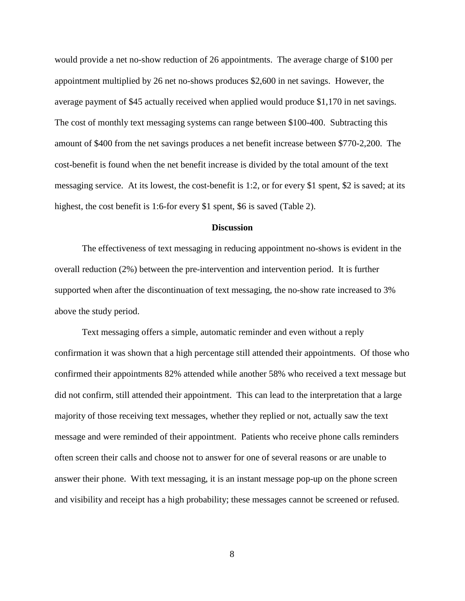would provide a net no-show reduction of 26 appointments. The average charge of \$100 per appointment multiplied by 26 net no-shows produces \$2,600 in net savings. However, the average payment of \$45 actually received when applied would produce \$1,170 in net savings. The cost of monthly text messaging systems can range between \$100-400. Subtracting this amount of \$400 from the net savings produces a net benefit increase between \$770-2,200. The cost-benefit is found when the net benefit increase is divided by the total amount of the text messaging service. At its lowest, the cost-benefit is 1:2, or for every \$1 spent, \$2 is saved; at its highest, the cost benefit is 1:6-for every \$1 spent, \$6 is saved (Table 2).

#### **Discussion**

The effectiveness of text messaging in reducing appointment no-shows is evident in the overall reduction (2%) between the pre-intervention and intervention period. It is further supported when after the discontinuation of text messaging, the no-show rate increased to 3% above the study period.

Text messaging offers a simple, automatic reminder and even without a reply confirmation it was shown that a high percentage still attended their appointments. Of those who confirmed their appointments 82% attended while another 58% who received a text message but did not confirm, still attended their appointment. This can lead to the interpretation that a large majority of those receiving text messages, whether they replied or not, actually saw the text message and were reminded of their appointment. Patients who receive phone calls reminders often screen their calls and choose not to answer for one of several reasons or are unable to answer their phone. With text messaging, it is an instant message pop-up on the phone screen and visibility and receipt has a high probability; these messages cannot be screened or refused.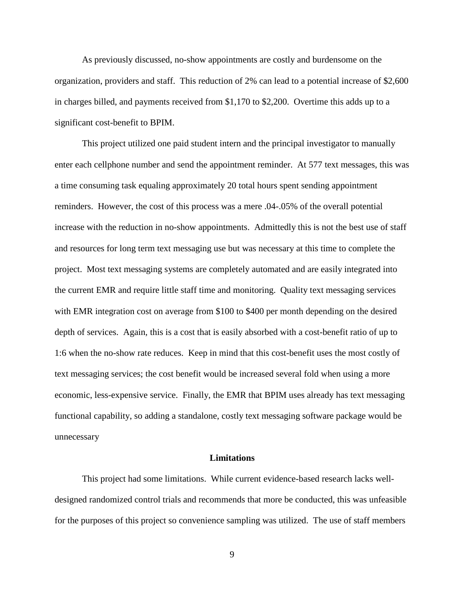As previously discussed, no-show appointments are costly and burdensome on the organization, providers and staff. This reduction of 2% can lead to a potential increase of \$2,600 in charges billed, and payments received from \$1,170 to \$2,200. Overtime this adds up to a significant cost-benefit to BPIM.

This project utilized one paid student intern and the principal investigator to manually enter each cellphone number and send the appointment reminder. At 577 text messages, this was a time consuming task equaling approximately 20 total hours spent sending appointment reminders. However, the cost of this process was a mere .04-.05% of the overall potential increase with the reduction in no-show appointments. Admittedly this is not the best use of staff and resources for long term text messaging use but was necessary at this time to complete the project. Most text messaging systems are completely automated and are easily integrated into the current EMR and require little staff time and monitoring. Quality text messaging services with EMR integration cost on average from \$100 to \$400 per month depending on the desired depth of services. Again, this is a cost that is easily absorbed with a cost-benefit ratio of up to 1:6 when the no-show rate reduces. Keep in mind that this cost-benefit uses the most costly of text messaging services; the cost benefit would be increased several fold when using a more economic, less-expensive service. Finally, the EMR that BPIM uses already has text messaging functional capability, so adding a standalone, costly text messaging software package would be unnecessary

#### **Limitations**

This project had some limitations. While current evidence-based research lacks welldesigned randomized control trials and recommends that more be conducted, this was unfeasible for the purposes of this project so convenience sampling was utilized. The use of staff members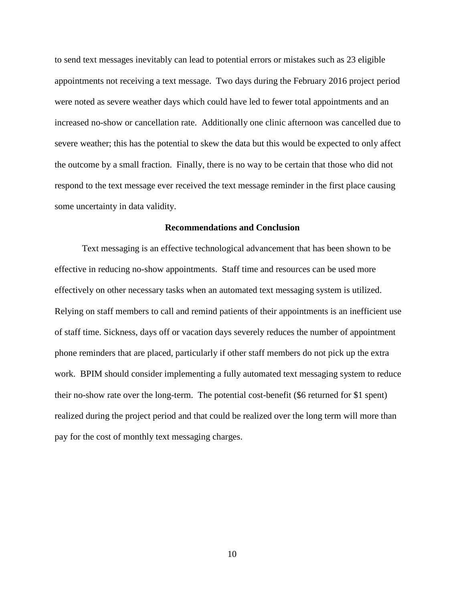to send text messages inevitably can lead to potential errors or mistakes such as 23 eligible appointments not receiving a text message. Two days during the February 2016 project period were noted as severe weather days which could have led to fewer total appointments and an increased no-show or cancellation rate. Additionally one clinic afternoon was cancelled due to severe weather; this has the potential to skew the data but this would be expected to only affect the outcome by a small fraction. Finally, there is no way to be certain that those who did not respond to the text message ever received the text message reminder in the first place causing some uncertainty in data validity.

#### **Recommendations and Conclusion**

Text messaging is an effective technological advancement that has been shown to be effective in reducing no-show appointments. Staff time and resources can be used more effectively on other necessary tasks when an automated text messaging system is utilized. Relying on staff members to call and remind patients of their appointments is an inefficient use of staff time. Sickness, days off or vacation days severely reduces the number of appointment phone reminders that are placed, particularly if other staff members do not pick up the extra work. BPIM should consider implementing a fully automated text messaging system to reduce their no-show rate over the long-term. The potential cost-benefit (\$6 returned for \$1 spent) realized during the project period and that could be realized over the long term will more than pay for the cost of monthly text messaging charges.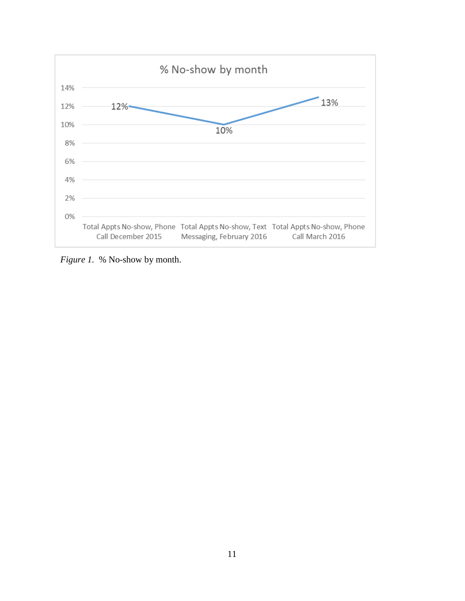

*Figure 1.* % No-show by month.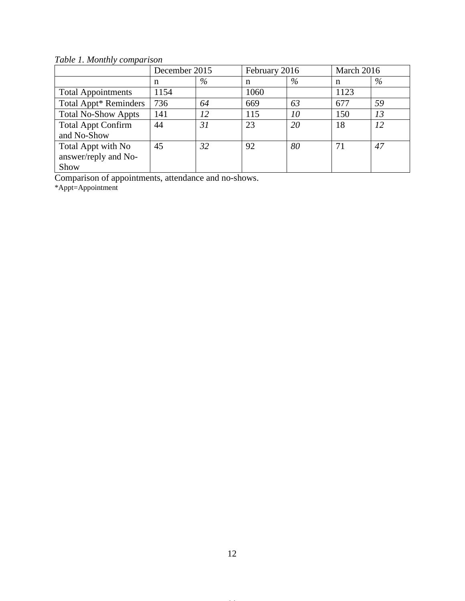*Table 1. Monthly comparison*

|                                                    | December 2015 |      | February 2016 |      | March 2016 |    |
|----------------------------------------------------|---------------|------|---------------|------|------------|----|
|                                                    | n             | $\%$ | n             | $\%$ | n          | %  |
| <b>Total Appointments</b>                          | 1154          |      | 1060          |      | 1123       |    |
| Total Appt* Reminders                              | 736           | 64   | 669           | 63   | 677        | 59 |
| <b>Total No-Show Appts</b>                         | 141           | 12   | 115           | 10   | 150        | 13 |
| <b>Total Appt Confirm</b><br>and No-Show           | 44            | 31   | 23            | 20   | 18         | 12 |
| Total Appt with No<br>answer/reply and No-<br>Show | 45            | 32   | 92            | 80   | 71         | 47 |

Comparison of appointments, attendance and no-shows.

\*Appt=Appointment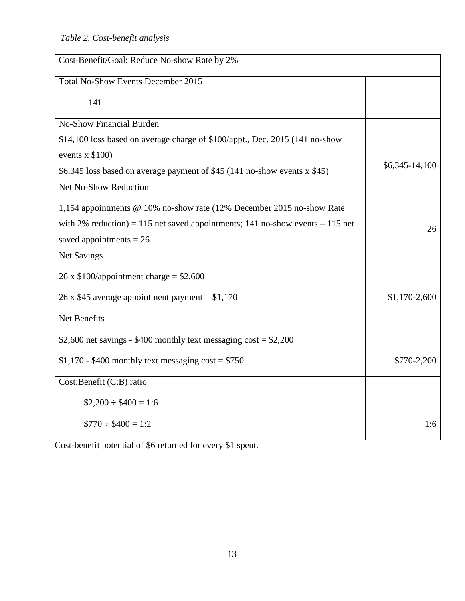| Cost-Benefit/Goal: Reduce No-show Rate by 2%                                   |                |
|--------------------------------------------------------------------------------|----------------|
| <b>Total No-Show Events December 2015</b>                                      |                |
| 141                                                                            |                |
| <b>No-Show Financial Burden</b>                                                |                |
| \$14,100 loss based on average charge of \$100/appt., Dec. 2015 (141 no-show   |                |
| events $x$ \$100)                                                              |                |
| \$6,345 loss based on average payment of \$45 (141 no-show events x \$45)      | \$6,345-14,100 |
| Net No-Show Reduction                                                          |                |
| 1,154 appointments @ 10% no-show rate (12% December 2015 no-show Rate          |                |
| with 2% reduction) = 115 net saved appointments; 141 no-show events $-115$ net | 26             |
| saved appointments $= 26$                                                      |                |
| Net Savings                                                                    |                |
| 26 x $$100$ /appointment charge = \$2,600                                      |                |
| 26 x \$45 average appointment payment = $$1,170$                               | $$1,170-2,600$ |
| Net Benefits                                                                   |                |
| \$2,600 net savings - \$400 monthly text messaging $\cos t = 2,200$            |                |
| $$1,170 - $400$ monthly text messaging cost = \$750                            | \$770-2,200    |
| Cost:Benefit (C:B) ratio                                                       |                |
| $$2,200 \div $400 = 1:6$                                                       |                |
| $$770 \div $400 = 1:2$                                                         | 1:6            |

Cost-benefit potential of \$6 returned for every \$1 spent.